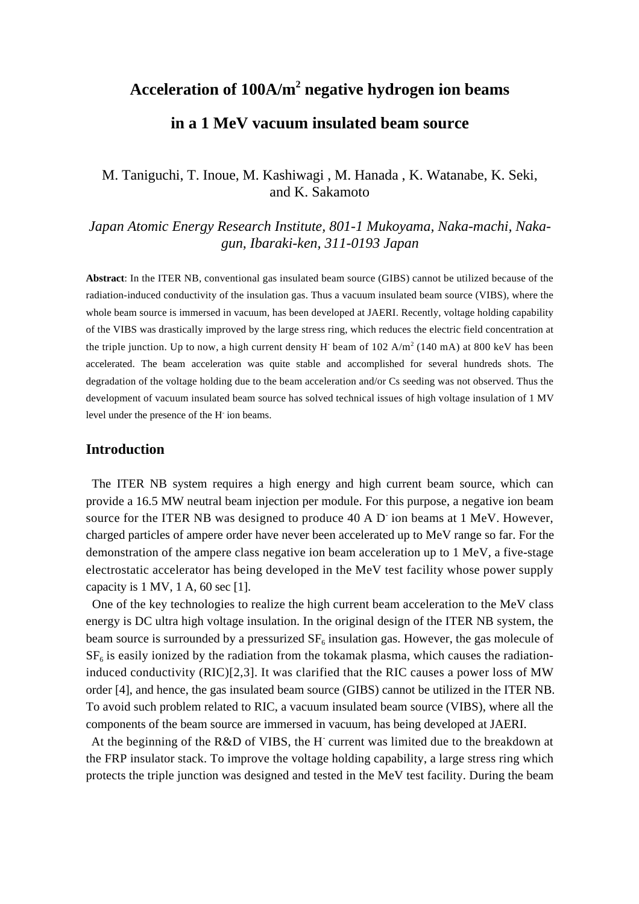# **Acceleration of 100A/m<sup>2</sup> negative hydrogen ion beams in a 1 MeV vacuum insulated beam source**

# M. Taniguchi, T. Inoue, M. Kashiwagi , M. Hanada , K. Watanabe, K. Seki, and K. Sakamoto

*Japan Atomic Energy Research Institute, 801-1 Mukoyama, Naka-machi, Nakagun, Ibaraki-ken, 311-0193 Japan*

**Abstract**: In the ITER NB, conventional gas insulated beam source (GIBS) cannot be utilized because of the radiation-induced conductivity of the insulation gas. Thus a vacuum insulated beam source (VIBS), where the whole beam source is immersed in vacuum, has been developed at JAERI. Recently, voltage holding capability of the VIBS was drastically improved by the large stress ring, which reduces the electric field concentration at the triple junction. Up to now, a high current density H beam of  $102 \text{ A/m}^2 (140 \text{ mA})$  at  $800 \text{ keV}$  has been accelerated. The beam acceleration was quite stable and accomplished for several hundreds shots. The degradation of the voltage holding due to the beam acceleration and/or Cs seeding was not observed. Thus the development of vacuum insulated beam source has solved technical issues of high voltage insulation of 1 MV level under the presence of the H- ion beams.

#### **Introduction**

The ITER NB system requires a high energy and high current beam source, which can provide a 16.5 MW neutral beam injection per module. For this purpose, a negative ion beam source for the ITER NB was designed to produce 40 A D ion beams at 1 MeV. However, charged particles of ampere order have never been accelerated up to MeV range so far. For the demonstration of the ampere class negative ion beam acceleration up to 1 MeV, a five-stage electrostatic accelerator has being developed in the MeV test facility whose power supply capacity is  $1$  MV,  $1$  A,  $60$  sec  $[1]$ .

One of the key technologies to realize the high current beam acceleration to the MeV class energy is DC ultra high voltage insulation. In the original design of the ITER NB system, the beam source is surrounded by a pressurized  $SF_6$  insulation gas. However, the gas molecule of  $SF<sub>6</sub>$  is easily ionized by the radiation from the tokamak plasma, which causes the radiationinduced conductivity (RIC)[2,3]. It was clarified that the RIC causes a power loss of MW order [4], and hence, the gas insulated beam source (GIBS) cannot be utilized in the ITER NB. To avoid such problem related to RIC, a vacuum insulated beam source (VIBS), where all the components of the beam source are immersed in vacuum, has being developed at JAERI.

At the beginning of the R&D of VIBS, the H current was limited due to the breakdown at the FRP insulator stack. To improve the voltage holding capability, a large stress ring which protects the triple junction was designed and tested in the MeV test facility. During the beam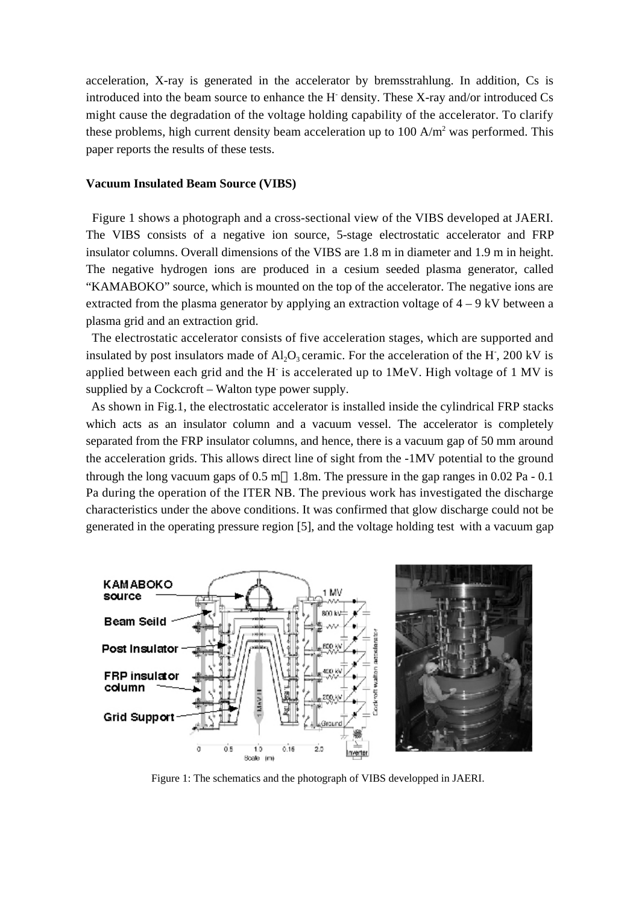acceleration, X-ray is generated in the accelerator by bremsstrahlung. In addition, Cs is introduced into the beam source to enhance the H<sup>-</sup> density. These X-ray and/or introduced Cs might cause the degradation of the voltage holding capability of the accelerator. To clarify these problems, high current density beam acceleration up to  $100 \text{ A/m}^2$  was performed. This paper reports the results of these tests.

#### **Vacuum Insulated Beam Source (VIBS)**

Figure 1 shows a photograph and a cross-sectional view of the VIBS developed at JAERI. The VIBS consists of a negative ion source, 5-stage electrostatic accelerator and FRP insulator columns. Overall dimensions of the VIBS are 1.8 m in diameter and 1.9 m in height. The negative hydrogen ions are produced in a cesium seeded plasma generator, called "KAMABOKO" source, which is mounted on the top of the accelerator. The negative ions are extracted from the plasma generator by applying an extraction voltage of 4 – 9 kV between a plasma grid and an extraction grid.

The electrostatic accelerator consists of five acceleration stages, which are supported and insulated by post insulators made of  $Al_2O_3$  ceramic. For the acceleration of the H<sup>-</sup>, 200 kV is applied between each grid and the H is accelerated up to 1MeV. High voltage of 1 MV is supplied by a Cockcroft – Walton type power supply.

As shown in Fig.1, the electrostatic accelerator is installed inside the cylindrical FRP stacks which acts as an insulator column and a vacuum vessel. The accelerator is completely separated from the FRP insulator columns, and hence, there is a vacuum gap of 50 mm around the acceleration grids. This allows direct line of sight from the -1MV potential to the ground through the long vacuum gaps of  $0.5 \text{ m}$  1.8m. The pressure in the gap ranges in  $0.02 \text{ Pa} - 0.1$ Pa during the operation of the ITER NB. The previous work has investigated the discharge characteristics under the above conditions. It was confirmed that glow discharge could not be generated in the operating pressure region [5], and the voltage holding test with a vacuum gap



Figure 1: The schematics and the photograph of VIBS developped in JAERI.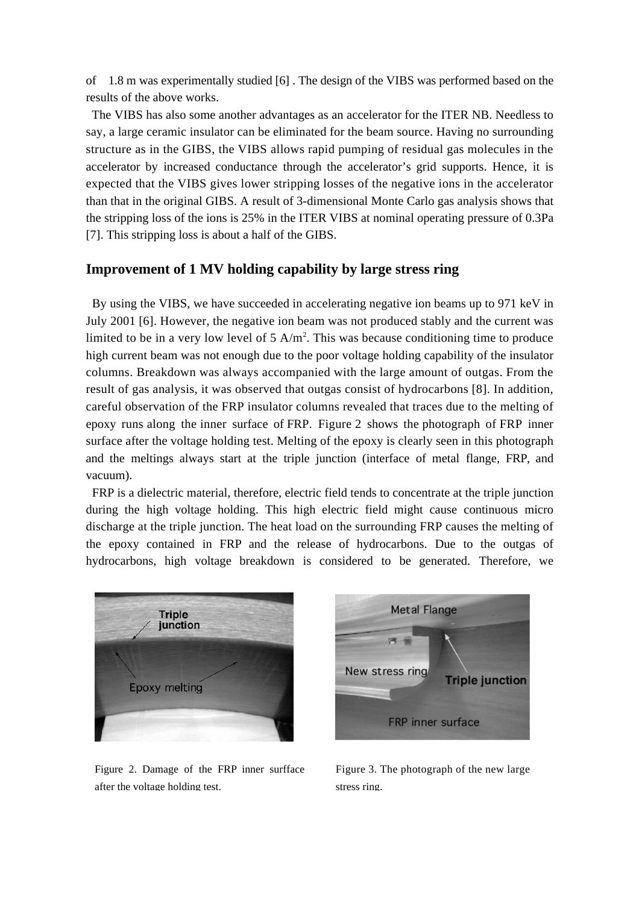of 1.8 m was experimentally studied [6] . The design of the VIBS was performed based on the results of the above works.

The VIBS has also some another advantages as an accelerator for the ITER NB. Needless to say, a large ceramic insulator can be eliminated for the beam source. Having no surrounding structure as in the GIBS, the VIBS allows rapid pumping of residual gas molecules in the accelerator by increased conductance through the accelerator's grid supports. Hence, it is expected that the VIBS gives lower stripping losses of the negative ions in the accelerator than that in the original GIBS. A result of 3-dimensional Monte Carlo gas analysis shows that the stripping loss of the ions is 25% in the ITER VIBS at nominal operating pressure of 0.3Pa [7]. This stripping loss is about a half of the GIBS.

## **Improvement of 1 MV holding capability by large stress ring**

By using the VIBS, we have succeeded in accelerating negative ion beams up to 971 keV in July 2001 [6]. However, the negative ion beam was not produced stably and the current was limited to be in a very low level of  $5 \text{ A/m}^2$ . This was because conditioning time to produce high current beam was not enough due to the poor voltage holding capability of the insulator columns. Breakdown was always accompanied with the large amount of outgas. From the result of gas analysis, it was observed that outgas consist of hydrocarbons [8]. In addition, careful observation of the FRP insulator columns revealed that traces due to the melting of epoxy runs along the inner surface of FRP. Figure 2 shows the photograph of FRP inner surface after the voltage holding test. Melting of the epoxy is clearly seen in this photograph and the meltings always start at the triple junction (interface of metal flange, FRP, and vacuum).

FRP is a dielectric material, therefore, electric field tends to concentrate at the triple junction during the high voltage holding. This high electric field might cause continuous micro discharge at the triple junction. The heat load on the surrounding FRP causes the melting of the epoxy contained in FRP and the release of hydrocarbons. Due to the outgas of hydrocarbons, high voltage breakdown is considered to be generated. Therefore, we



Figure 2. Damage of the FRP inner surfface after the voltage holding test.



Figure 3. The photograph of the new large stress ring.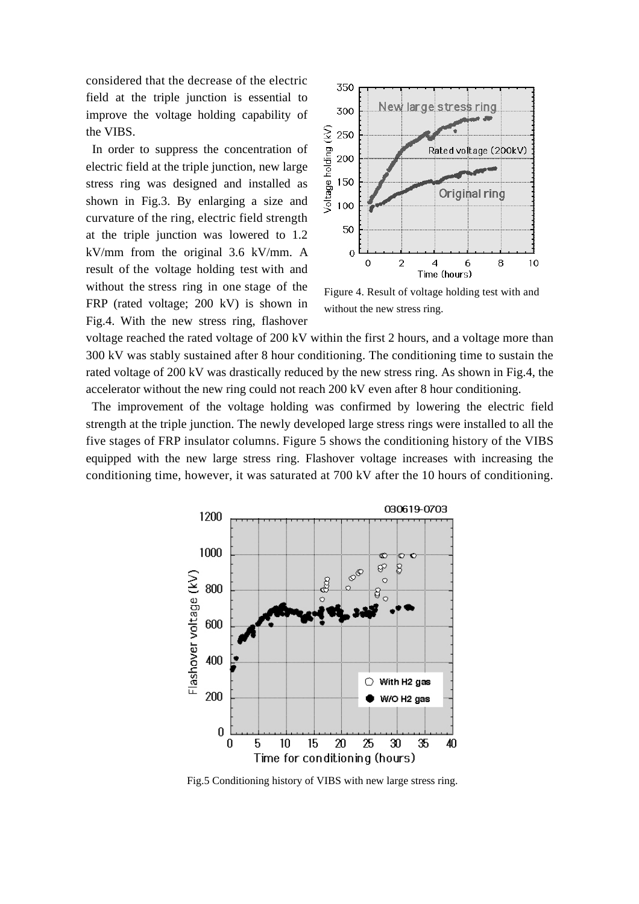considered that the decrease of the electric field at the triple junction is essential to improve the voltage holding capability of the VIBS.

In order to suppress the concentration of electric field at the triple junction, new large stress ring was designed and installed as shown in Fig.3. By enlarging a size and curvature of the ring, electric field strength at the triple junction was lowered to 1.2 kV/mm from the original 3.6 kV/mm. A result of the voltage holding test with and without the stress ring in one stage of the FRP (rated voltage; 200 kV) is shown in Fig.4. With the new stress ring, flashover



Figure 4. Result of voltage holding test with and without the new stress ring.

voltage reached the rated voltage of 200 kV within the first 2 hours, and a voltage more than 300 kV was stably sustained after 8 hour conditioning. The conditioning time to sustain the rated voltage of 200 kV was drastically reduced by the new stress ring. As shown in Fig.4, the accelerator without the new ring could not reach 200 kV even after 8 hour conditioning.

The improvement of the voltage holding was confirmed by lowering the electric field strength at the triple junction. The newly developed large stress rings were installed to all the five stages of FRP insulator columns. Figure 5 shows the conditioning history of the VIBS equipped with the new large stress ring. Flashover voltage increases with increasing the conditioning time, however, it was saturated at 700 kV after the 10 hours of conditioning.



Fig.5 Conditioning history of VIBS with new large stress ring.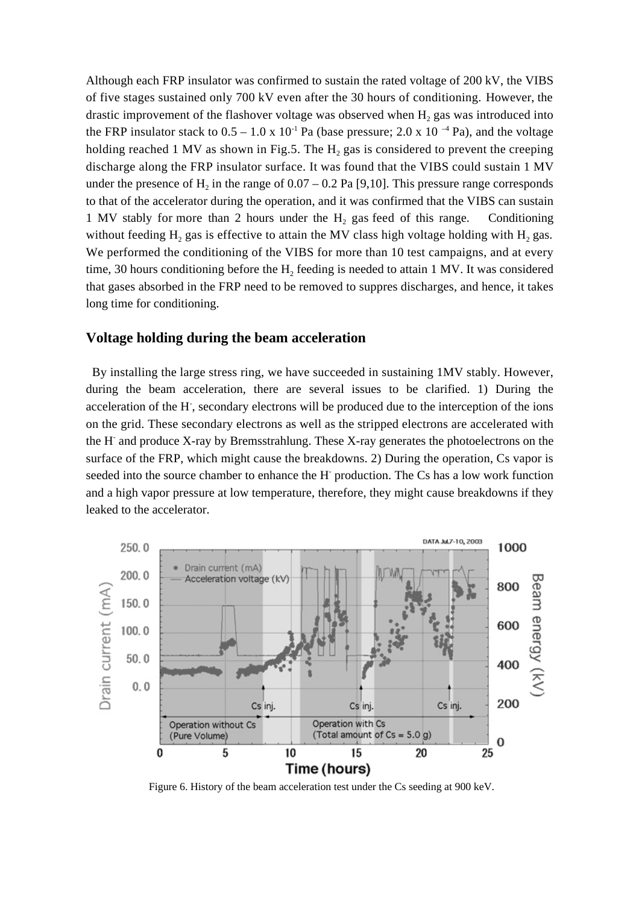Although each FRP insulator was confirmed to sustain the rated voltage of 200 kV, the VIBS of five stages sustained only 700 kV even after the 30 hours of conditioning. However, the drastic improvement of the flashover voltage was observed when  $H_2$  gas was introduced into the FRP insulator stack to  $0.5 - 1.0 \times 10^{-1}$  Pa (base pressure; 2.0 x 10<sup>-4</sup> Pa), and the voltage holding reached 1 MV as shown in Fig.5. The  $H_2$  gas is considered to prevent the creeping discharge along the FRP insulator surface. It was found that the VIBS could sustain 1 MV under the presence of  $H_2$  in the range of  $0.07 - 0.2$  Pa [9,10]. This pressure range corresponds to that of the accelerator during the operation, and it was confirmed that the VIBS can sustain 1 MV stably for more than 2 hours under the  $H_2$  gas feed of this range. Conditioning without feeding  $H_2$  gas is effective to attain the MV class high voltage holding with  $H_2$  gas. We performed the conditioning of the VIBS for more than 10 test campaigns, and at every time, 30 hours conditioning before the  $H_2$  feeding is needed to attain 1 MV. It was considered that gases absorbed in the FRP need to be removed to suppres discharges, and hence, it takes long time for conditioning.

### **Voltage holding during the beam acceleration**

By installing the large stress ring, we have succeeded in sustaining 1MV stably. However, during the beam acceleration, there are several issues to be clarified. 1) During the acceleration of the H<sup>-</sup>, secondary electrons will be produced due to the interception of the ions on the grid. These secondary electrons as well as the stripped electrons are accelerated with the H<sup>-</sup> and produce X-ray by Bremsstrahlung. These X-ray generates the photoelectrons on the surface of the FRP, which might cause the breakdowns. 2) During the operation, Cs vapor is seeded into the source chamber to enhance the H<sup>-</sup> production. The Cs has a low work function and a high vapor pressure at low temperature, therefore, they might cause breakdowns if they leaked to the accelerator.



Figure 6. History of the beam acceleration test under the Cs seeding at 900 keV.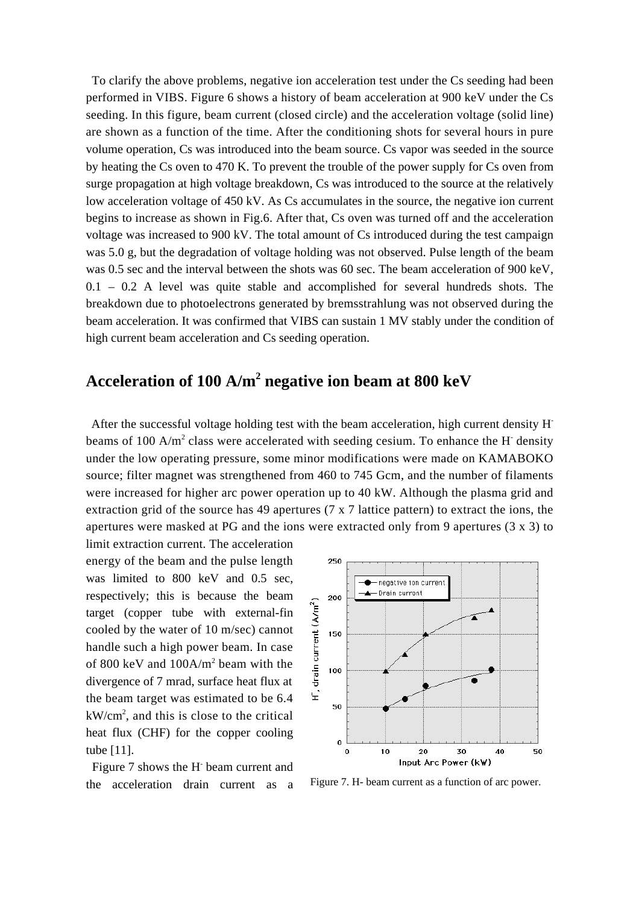To clarify the above problems, negative ion acceleration test under the Cs seeding had been performed in VIBS. Figure 6 shows a history of beam acceleration at 900 keV under the Cs seeding. In this figure, beam current (closed circle) and the acceleration voltage (solid line) are shown as a function of the time. After the conditioning shots for several hours in pure volume operation, Cs was introduced into the beam source. Cs vapor was seeded in the source by heating the Cs oven to 470 K. To prevent the trouble of the power supply for Cs oven from surge propagation at high voltage breakdown, Cs was introduced to the source at the relatively low acceleration voltage of 450 kV. As Cs accumulates in the source, the negative ion current begins to increase as shown in Fig.6. After that, Cs oven was turned off and the acceleration voltage was increased to 900 kV. The total amount of Cs introduced during the test campaign was 5.0 g, but the degradation of voltage holding was not observed. Pulse length of the beam was 0.5 sec and the interval between the shots was 60 sec. The beam acceleration of 900 keV, 0.1 – 0.2 A level was quite stable and accomplished for several hundreds shots. The breakdown due to photoelectrons generated by bremsstrahlung was not observed during the beam acceleration. It was confirmed that VIBS can sustain 1 MV stably under the condition of high current beam acceleration and Cs seeding operation.

# **Acceleration of 100 A/m<sup>2</sup> negative ion beam at 800 keV**

After the successful voltage holding test with the beam acceleration, high current density Hbeams of 100 A/m<sup>2</sup> class were accelerated with seeding cesium. To enhance the H<sup>-</sup> density under the low operating pressure, some minor modifications were made on KAMABOKO source; filter magnet was strengthened from 460 to 745 Gcm, and the number of filaments were increased for higher arc power operation up to 40 kW. Although the plasma grid and extraction grid of the source has 49 apertures ( $7 \times 7$  lattice pattern) to extract the ions, the apertures were masked at PG and the ions were extracted only from 9 apertures (3 x 3) to

limit extraction current. The acceleration energy of the beam and the pulse length was limited to 800 keV and 0.5 sec, respectively; this is because the beam target (copper tube with external-fin cooled by the water of 10 m/sec) cannot handle such a high power beam. In case of 800 keV and  $100A/m^2$  beam with the divergence of 7 mrad, surface heat flux at the beam target was estimated to be 6.4  $kW/cm<sup>2</sup>$ , and this is close to the critical heat flux (CHF) for the copper cooling tube [11].

Figure 7 shows the H beam current and



the acceleration drain current as a Figure 7. H- beam current as a function of arc power.